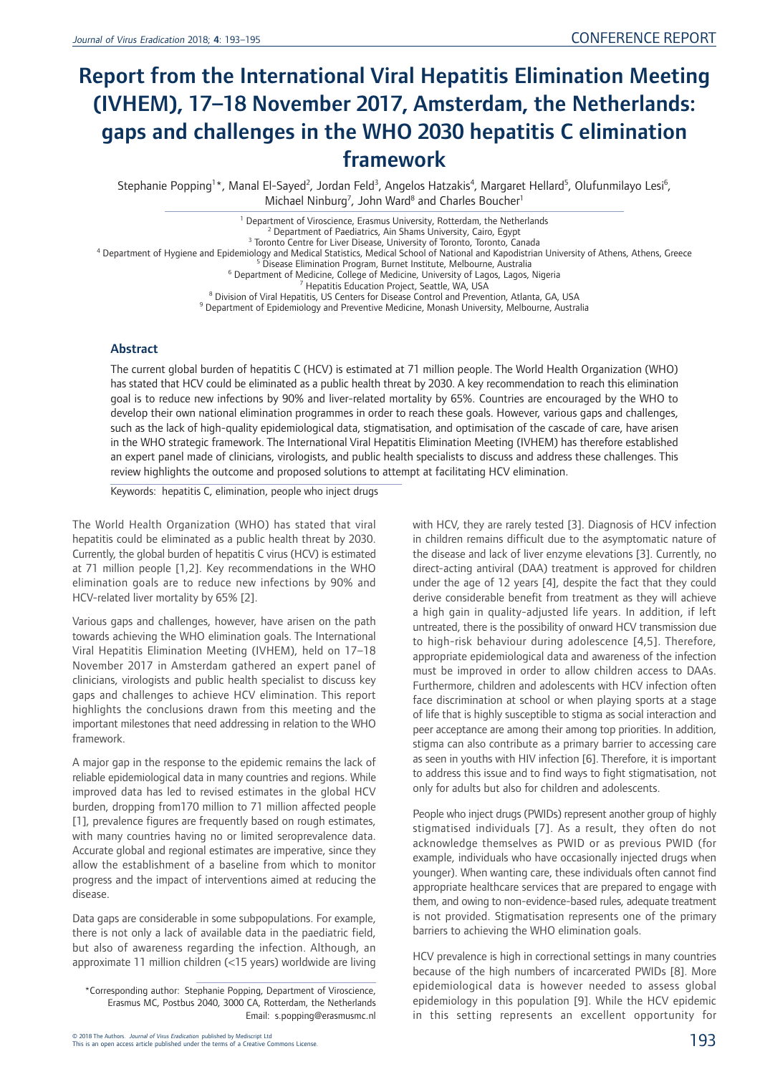# Report from the International Viral Hepatitis Elimination Meeting (IVHEM), 17–18 November 2017, Amsterdam, the Netherlands: gaps and challenges in the WHO 2030 hepatitis C elimination framework

Stephanie Popping<sup>1\*</sup>, Manal El-Sayed<sup>2</sup>, Jordan Feld<sup>3</sup>, Angelos Hatzakis<sup>4</sup>, Margaret Hellard<sup>5</sup>, Olufunmilayo Lesi<sup>6</sup>, Michael Ninburg<sup>7</sup>, John Ward<sup>8</sup> and Charles Boucher<sup>1</sup>

<sup>1</sup> Department of Viroscience, Erasmus University, Rotterdam, the Netherlands<br><sup>2</sup> Department of Paediatrics, Ain Shams University, Cairo, Egypt<br><sup>4</sup> Department of Hygiene and Epidemiology and Medical Statistics, Medical Sc

#### Abstract

The current global burden of hepatitis C (HCV) is estimated at 71 million people. The World Health Organization (WHO) has stated that HCV could be eliminated as a public health threat by 2030. A key recommendation to reach this elimination goal is to reduce new infections by 90% and liver-related mortality by 65%. Countries are encouraged by the WHO to develop their own national elimination programmes in order to reach these goals. However, various gaps and challenges, such as the lack of high-quality epidemiological data, stigmatisation, and optimisation of the cascade of care, have arisen in the WHO strategic framework. The International Viral Hepatitis Elimination Meeting (IVHEM) has therefore established an expert panel made of clinicians, virologists, and public health specialists to discuss and address these challenges. This review highlights the outcome and proposed solutions to attempt at facilitating HCV elimination.

Keywords: hepatitis C, elimination, people who inject drugs

The World Health Organization (WHO) has stated that viral hepatitis could be eliminated as a public health threat by 2030. Currently, the global burden of hepatitis C virus (HCV) is estimated at 71 million people [1,2]. Key recommendations in the WHO elimination goals are to reduce new infections by 90% and HCV-related liver mortality by 65% [2].

Various gaps and challenges, however, have arisen on the path towards achieving the WHO elimination goals. The International Viral Hepatitis Elimination Meeting (IVHEM), held on 17–18 November 2017 in Amsterdam gathered an expert panel of clinicians, virologists and public health specialist to discuss key gaps and challenges to achieve HCV elimination. This report highlights the conclusions drawn from this meeting and the important milestones that need addressing in relation to the WHO framework.

A major gap in the response to the epidemic remains the lack of reliable epidemiological data in many countries and regions. While improved data has led to revised estimates in the global HCV burden, dropping from170 million to 71 million affected people [1], prevalence figures are frequently based on rough estimates, with many countries having no or limited seroprevalence data. Accurate global and regional estimates are imperative, since they allow the establishment of a baseline from which to monitor progress and the impact of interventions aimed at reducing the disease.

Data gaps are considerable in some subpopulations. For example, there is not only a lack of available data in the paediatric field, but also of awareness regarding the infection. Although, an approximate 11 million children (<15 years) worldwide are living

© 2018 The Authors. *Journal of Virus Eradication published by Mediscript Ltd*<br>This is an open access article published under the terms of a Creative Commons License.

with HCV, they are rarely tested [3]. Diagnosis of HCV infection in children remains difficult due to the asymptomatic nature of the disease and lack of liver enzyme elevations [3]. Currently, no direct-acting antiviral (DAA) treatment is approved for children under the age of 12 years [4], despite the fact that they could derive considerable benefit from treatment as they will achieve a high gain in quality-adjusted life years. In addition, if left untreated, there is the possibility of onward HCV transmission due to high-risk behaviour during adolescence [4,5]. Therefore, appropriate epidemiological data and awareness of the infection must be improved in order to allow children access to DAAs. Furthermore, children and adolescents with HCV infection often face discrimination at school or when playing sports at a stage of life that is highly susceptible to stigma as social interaction and peer acceptance are among their among top priorities. In addition, stigma can also contribute as a primary barrier to accessing care as seen in youths with HIV infection [6]. Therefore, it is important to address this issue and to find ways to fight stigmatisation, not only for adults but also for children and adolescents.

People who inject drugs (PWIDs) represent another group of highly stigmatised individuals [7]. As a result, they often do not acknowledge themselves as PWID or as previous PWID (for example, individuals who have occasionally injected drugs when younger). When wanting care, these individuals often cannot find appropriate healthcare services that are prepared to engage with them, and owing to non-evidence-based rules, adequate treatment is not provided. Stigmatisation represents one of the primary barriers to achieving the WHO elimination goals.

HCV prevalence is high in correctional settings in many countries because of the high numbers of incarcerated PWIDs [8]. More epidemiological data is however needed to assess global epidemiology in this population [9]. While the HCV epidemic in this setting represents an excellent opportunity for

<sup>\*</sup>Corresponding author: Stephanie Popping, Department of Viroscience, Erasmus MC, Postbus 2040, 3000 CA, Rotterdam, the Netherlands Email: s.popping@erasmusmc.nl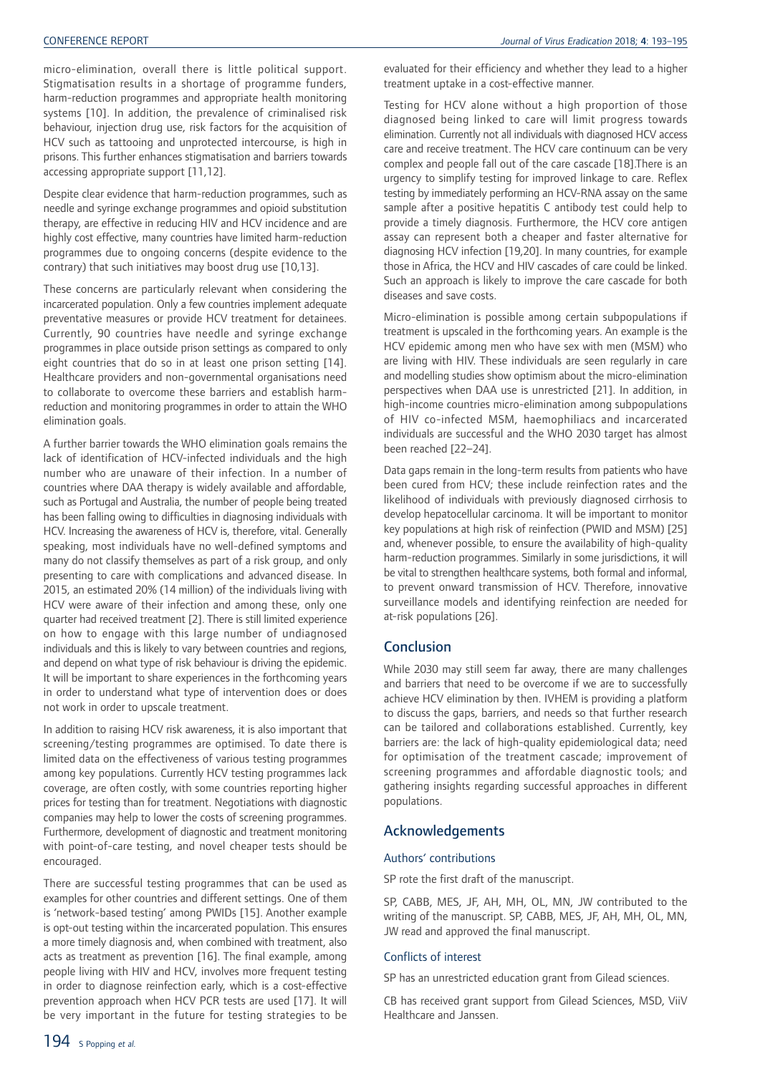micro-elimination, overall there is little political support. Stigmatisation results in a shortage of programme funders, harm-reduction programmes and appropriate health monitoring systems [10]. In addition, the prevalence of criminalised risk behaviour, injection drug use, risk factors for the acquisition of HCV such as tattooing and unprotected intercourse, is high in prisons. This further enhances stigmatisation and barriers towards accessing appropriate support [11,12].

Despite clear evidence that harm-reduction programmes, such as needle and syringe exchange programmes and opioid substitution therapy, are effective in reducing HIV and HCV incidence and are highly cost effective, many countries have limited harm-reduction programmes due to ongoing concerns (despite evidence to the contrary) that such initiatives may boost drug use [10,13].

These concerns are particularly relevant when considering the incarcerated population. Only a few countries implement adequate preventative measures or provide HCV treatment for detainees. Currently, 90 countries have needle and syringe exchange programmes in place outside prison settings as compared to only eight countries that do so in at least one prison setting [14]. Healthcare providers and non-governmental organisations need to collaborate to overcome these barriers and establish harmreduction and monitoring programmes in order to attain the WHO elimination goals.

A further barrier towards the WHO elimination goals remains the lack of identification of HCV-infected individuals and the high number who are unaware of their infection. In a number of countries where DAA therapy is widely available and affordable, such as Portugal and Australia, the number of people being treated has been falling owing to difficulties in diagnosing individuals with HCV. Increasing the awareness of HCV is, therefore, vital. Generally speaking, most individuals have no well-defined symptoms and many do not classify themselves as part of a risk group, and only presenting to care with complications and advanced disease. In 2015, an estimated 20% (14 million) of the individuals living with HCV were aware of their infection and among these, only one quarter had received treatment [2]. There is still limited experience on how to engage with this large number of undiagnosed individuals and this is likely to vary between countries and regions, and depend on what type of risk behaviour is driving the epidemic. It will be important to share experiences in the forthcoming years in order to understand what type of intervention does or does not work in order to upscale treatment.

In addition to raising HCV risk awareness, it is also important that screening/testing programmes are optimised. To date there is limited data on the effectiveness of various testing programmes among key populations. Currently HCV testing programmes lack coverage, are often costly, with some countries reporting higher prices for testing than for treatment. Negotiations with diagnostic companies may help to lower the costs of screening programmes. Furthermore, development of diagnostic and treatment monitoring with point-of-care testing, and novel cheaper tests should be encouraged.

There are successful testing programmes that can be used as examples for other countries and different settings. One of them is 'network-based testing' among PWIDs [15]. Another example is opt-out testing within the incarcerated population. This ensures a more timely diagnosis and, when combined with treatment, also acts as treatment as prevention [16]. The final example, among people living with HIV and HCV, involves more frequent testing in order to diagnose reinfection early, which is a cost-effective prevention approach when HCV PCR tests are used [17]. It will be very important in the future for testing strategies to be evaluated for their efficiency and whether they lead to a higher treatment uptake in a cost-effective manner.

Testing for HCV alone without a high proportion of those diagnosed being linked to care will limit progress towards elimination. Currently not all individuals with diagnosed HCV access care and receive treatment. The HCV care continuum can be very complex and people fall out of the care cascade [18].There is an urgency to simplify testing for improved linkage to care. Reflex testing by immediately performing an HCV-RNA assay on the same sample after a positive hepatitis C antibody test could help to provide a timely diagnosis. Furthermore, the HCV core antigen assay can represent both a cheaper and faster alternative for diagnosing HCV infection [19,20]. In many countries, for example those in Africa, the HCV and HIV cascades of care could be linked. Such an approach is likely to improve the care cascade for both diseases and save costs.

Micro-elimination is possible among certain subpopulations if treatment is upscaled in the forthcoming years. An example is the HCV epidemic among men who have sex with men (MSM) who are living with HIV. These individuals are seen regularly in care and modelling studies show optimism about the micro-elimination perspectives when DAA use is unrestricted [21]. In addition, in high-income countries micro-elimination among subpopulations of HIV co-infected MSM, haemophiliacs and incarcerated individuals are successful and the WHO 2030 target has almost been reached [22–24].

Data gaps remain in the long-term results from patients who have been cured from HCV; these include reinfection rates and the likelihood of individuals with previously diagnosed cirrhosis to develop hepatocellular carcinoma. It will be important to monitor key populations at high risk of reinfection (PWID and MSM) [25] and, whenever possible, to ensure the availability of high-quality harm-reduction programmes. Similarly in some jurisdictions, it will be vital to strengthen healthcare systems, both formal and informal, to prevent onward transmission of HCV. Therefore, innovative surveillance models and identifying reinfection are needed for at-risk populations [26].

## Conclusion

While 2030 may still seem far away, there are many challenges and barriers that need to be overcome if we are to successfully achieve HCV elimination by then. IVHEM is providing a platform to discuss the gaps, barriers, and needs so that further research can be tailored and collaborations established. Currently, key barriers are: the lack of high-quality epidemiological data; need for optimisation of the treatment cascade; improvement of screening programmes and affordable diagnostic tools; and gathering insights regarding successful approaches in different populations.

# Acknowledgements

## Authors' contributions

SP rote the first draft of the manuscript.

SP, CABB, MES, JF, AH, MH, OL, MN, JW contributed to the writing of the manuscript. SP, CABB, MES, JF, AH, MH, OL, MN, JW read and approved the final manuscript.

## Conflicts of interest

SP has an unrestricted education grant from Gilead sciences.

CB has received grant support from Gilead Sciences, MSD, ViiV Healthcare and Janssen.